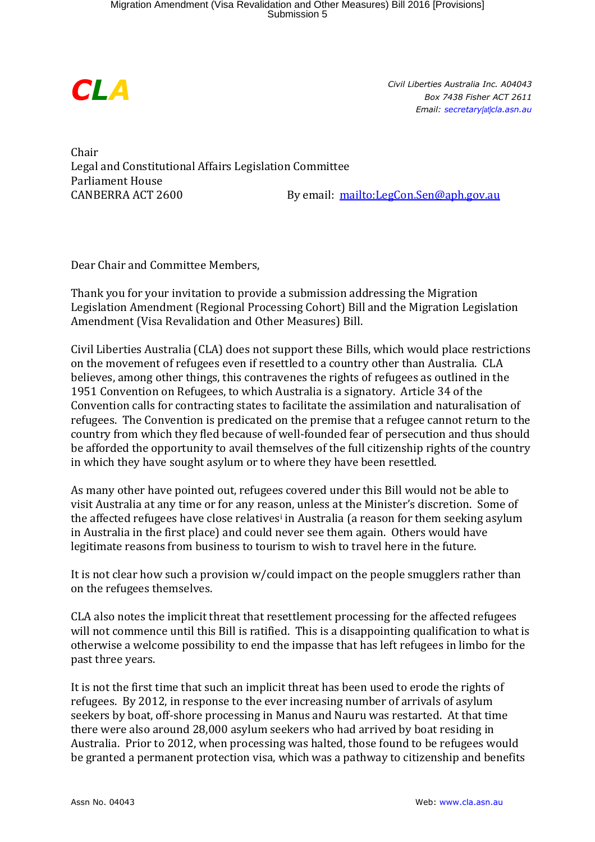

*Civil Liberties Australia Inc. A04043 Box 7438 Fisher ACT 2611 Email: secretary[at]cla.asn.au*

Chair Legal and Constitutional Affairs Legislation Committee Parliament House CANBERRA ACT 2600 By email: <mailto:LegCon.Sen@aph.gov.au>

Dear Chair and Committee Members,

Thank you for your invitation to provide a submission addressing the Migration Legislation Amendment (Regional Processing Cohort) Bill and the Migration Legislation Amendment (Visa Revalidation and Other Measures) Bill.

Civil Liberties Australia (CLA) does not support these Bills, which would place restrictions on the movement of refugees even if resettled to a country other than Australia. CLA believes, among other things, this contravenes the rights of refugees as outlined in the 1951 Convention on Refugees, to which Australia is a signatory. Article 34 of the Convention calls for contracting states to facilitate the assimilation and naturalisation of refugees. The Convention is predicated on the premise that a refugee cannot return to the country from which they fled because of well-founded fear of persecution and thus should be afforded the opportunity to avail themselves of the full citizenship rights of the country in which they have sought asylum or to where they have been resettled.

As many other have pointed out, refugees covered under this Bill would not be able to visit Australia at any time or for any reason, unless at the Minister's discretion. Some of the affected refugees have close relatives<sup>i</sup> in Australia (a reason for them seeking asylum in Australia in the first place) and could never see them again. Others would have legitimate reasons from business to tourism to wish to travel here in the future.

It is not clear how such a provision w/could impact on the people smugglers rather than on the refugees themselves.

CLA also notes the implicit threat that resettlement processing for the affected refugees will not commence until this Bill is ratified. This is a disappointing qualification to what is otherwise a welcome possibility to end the impasse that has left refugees in limbo for the past three years.

It is not the first time that such an implicit threat has been used to erode the rights of refugees. By 2012, in response to the ever increasing number of arrivals of asylum seekers by boat, off-shore processing in Manus and Nauru was restarted. At that time there were also around 28,000 asylum seekers who had arrived by boat residing in Australia. Prior to 2012, when processing was halted, those found to be refugees would be granted a permanent protection visa, which was a pathway to citizenship and benefits